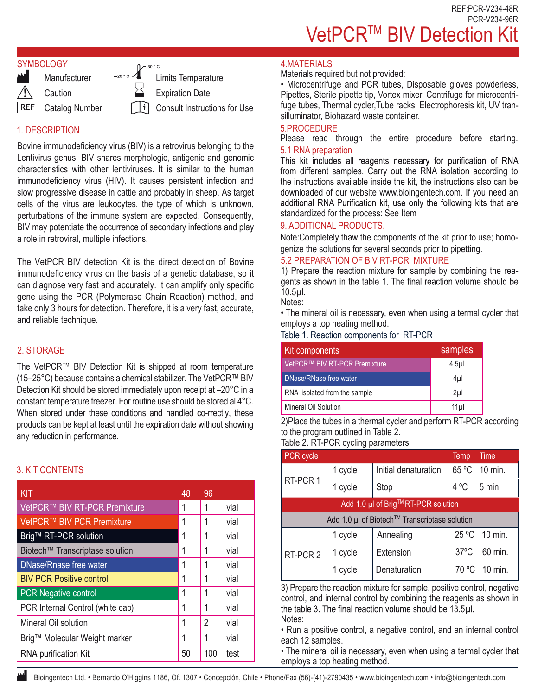REF:PCR-V234-48R PCR-V234-96R VetPCR<sup>™</sup> BIV Detection Kit

## **SYMBOLOGY**



# 1. DESCRIPTION

Bovine immunodeficiency virus (BIV) is a retrovirus belonging to the Lentivirus genus. BIV shares morphologic, antigenic and genomic characteristics with other lentiviruses. It is similar to the human immunodeficiency virus (HIV). It causes persistent infection and slow progressive disease in cattle and probably in sheep. As target cells of the virus are leukocytes, the type of which is unknown, perturbations of the immune system are expected. Consequently, BIV may potentiate the occurrence of secondary infections and play a role in retroviral, multiple infections.

The VetPCR BIV detection Kit is the direct detection of Bovine immunodeficiency virus on the basis of a genetic database, so it can diagnose very fast and accurately. It can amplify only specific gene using the PCR (Polymerase Chain Reaction) method, and take only 3 hours for detection. Therefore, it is a very fast, accurate, and reliable technique.

## 2. STORAGE

The VetPCR™ BIV Detection Kit is shipped at room temperature (15–25°C) because contains a chemical stabilizer. The VetPCR™ BIV Detection Kit should be stored immediately upon receipt at –20°C in a constant temperature freezer. For routine use should be stored al 4°C. When stored under these conditions and handled co-rrectly, these products can be kept at least until the expiration date without showing any reduction in performance.

# 3. KIT CONTENTS

| KIT                              | 48 | 96             |      |
|----------------------------------|----|----------------|------|
| VetPCR™ BIV RT-PCR Premixture    | 1  | 1              | vial |
| VetPCR™ BIV PCR Premixture       | 1  | 1              | vial |
| Brig™ RT-PCR solution            | 1  | 1              | vial |
| Biotech™ Transcriptase solution  | 1  | 1              | vial |
| <b>DNase/Rnase free water</b>    | 1  | 1              | vial |
| <b>BIV PCR Positive control</b>  | 1  | 1              | vial |
| <b>PCR</b> Negative control      |    | 1              | vial |
| PCR Internal Control (white cap) | 1  | 1              | vial |
| Mineral Oil solution             |    | $\overline{2}$ | vial |
| Brig™ Molecular Weight marker    |    | 1              | vial |
| <b>RNA purification Kit</b>      | 50 | 100            | test |

## 4.MATERIALS

Materials required but not provided:

• Microcentrifuge and PCR tubes, Disposable gloves powderless, Pipettes, Sterile pipette tip, Vortex mixer, Centrifuge for microcentrifuge tubes, Thermal cycler,Tube racks, Electrophoresis kit, UV transilluminator, Biohazard waste container.

#### 5.PROCEDURE

Please read through the entire procedure before starting. 5.1 RNA preparation<br>This kit includes all reagents necessary for purification of RNA

from different samples. Carry out the RNA isolation according to the instructions available inside the kit, the instructions also can be downloaded of our website www.bioingentech.com. If you need an additional RNA Purification kit, use only the following kits that are standardized for the process: See Item

#### 9. ADDITIONAL PRODUCTS.

Note:Completely thaw the components of the kit prior to use; homogenize the solutions for several seconds prior to pipetting.

#### 5.2 PREPARATION OF BIV RT-PCR MIXTURE

1) Prepare the reaction mixture for sample by combining the reagents as shown in the table 1. The final reaction volume should be 10.5µl.

Notes:

• The mineral oil is necessary, even when using a termal cycler that employs a top heating method.

Table 1. Reaction components for RT-PCR

| Kit components                | samples          |
|-------------------------------|------------------|
| VetPCR™ BIV RT-PCR Premixture | 4.5 <sub>µ</sub> |
| DNase/RNase free water        | 4µl              |
| RNA isolated from the sample  | 2 <sub>µ</sub>   |
| Mineral Oil Solution          | $11$ µl          |

2)Place the tubes in a thermal cycler and perform RT-PCR according to the program outlined in Table 2. Table 2. PT-PCP cycling parameters

| Table 2. RT-PUR cycling parameters |  |  |
|------------------------------------|--|--|
|------------------------------------|--|--|

| PCR cycle                                     |         |                      | Temp           | Time     |  |
|-----------------------------------------------|---------|----------------------|----------------|----------|--|
| RT-PCR 1                                      | 1 cycle | Initial denaturation | 65 °C          | 10 min.  |  |
|                                               | 1 cycle | Stop                 | 4 °C           | $5$ min. |  |
| Add 1.0 µl of Brig™RT-PCR solution            |         |                      |                |          |  |
| Add 1.0 µl of Biotech™ Transcriptase solution |         |                      |                |          |  |
|                                               | 1 cycle | Annealing            | 25 °C          | 10 min.  |  |
| RT-PCR 2                                      | 1 cycle | Extension            | $37^{\circ}$ C | 60 min.  |  |
|                                               | 1 cycle | Denaturation         | 70 °C          | 10 min.  |  |

3) Prepare the reaction mixture for sample, positive control, negative control, and internal control by combining the reagents as shown in the table 3. The final reaction volume should be 13.5µl. Notes:

• Run a positive control, a negative control, and an internal control each 12 samples.

• The mineral oil is necessary, even when using a termal cycler that employs a top heating method.